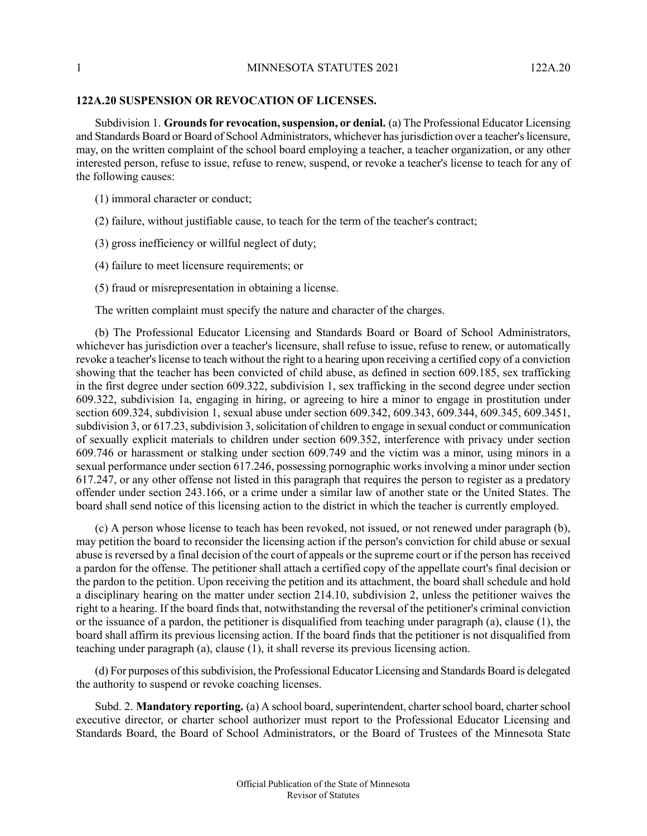## **122A.20 SUSPENSION OR REVOCATION OF LICENSES.**

Subdivision 1. **Grounds for revocation, suspension, or denial.** (a) The Professional Educator Licensing and Standards Board or Board of School Administrators, whichever has jurisdiction over a teacher's licensure, may, on the written complaint of the school board employing a teacher, a teacher organization, or any other interested person, refuse to issue, refuse to renew, suspend, or revoke a teacher's license to teach for any of the following causes:

(1) immoral character or conduct;

(2) failure, without justifiable cause, to teach for the term of the teacher's contract;

(3) gross inefficiency or willful neglect of duty;

(4) failure to meet licensure requirements; or

(5) fraud or misrepresentation in obtaining a license.

The written complaint must specify the nature and character of the charges.

(b) The Professional Educator Licensing and Standards Board or Board of School Administrators, whichever has jurisdiction over a teacher's licensure, shall refuse to issue, refuse to renew, or automatically revoke a teacher's license to teach without the right to a hearing upon receiving a certified copy of a conviction showing that the teacher has been convicted of child abuse, as defined in section 609.185, sex trafficking in the first degree under section 609.322, subdivision 1, sex trafficking in the second degree under section 609.322, subdivision 1a, engaging in hiring, or agreeing to hire a minor to engage in prostitution under section 609.324, subdivision 1, sexual abuse under section 609.342, 609.343, 609.344, 609.345, 609.3451, subdivision 3, or 617.23, subdivision 3, solicitation of children to engage in sexual conduct or communication of sexually explicit materials to children under section 609.352, interference with privacy under section 609.746 or harassment or stalking under section 609.749 and the victim was a minor, using minors in a sexual performance under section 617.246, possessing pornographic works involving a minor under section 617.247, or any other offense not listed in this paragraph that requires the person to register as a predatory offender under section 243.166, or a crime under a similar law of another state or the United States. The board shall send notice of this licensing action to the district in which the teacher is currently employed.

(c) A person whose license to teach has been revoked, not issued, or not renewed under paragraph (b), may petition the board to reconsider the licensing action if the person's conviction for child abuse or sexual abuse is reversed by a final decision of the court of appeals or the supreme court or if the person has received a pardon for the offense. The petitioner shall attach a certified copy of the appellate court's final decision or the pardon to the petition. Upon receiving the petition and its attachment, the board shall schedule and hold a disciplinary hearing on the matter under section 214.10, subdivision 2, unless the petitioner waives the right to a hearing. If the board finds that, notwithstanding the reversal of the petitioner's criminal conviction or the issuance of a pardon, the petitioner is disqualified from teaching under paragraph (a), clause (1), the board shall affirm its previous licensing action. If the board finds that the petitioner is not disqualified from teaching under paragraph (a), clause (1), it shall reverse its previous licensing action.

(d) For purposes of thissubdivision, the Professional Educator Licensing and Standards Board is delegated the authority to suspend or revoke coaching licenses.

Subd. 2. **Mandatory reporting.** (a) A school board, superintendent, charter school board, charter school executive director, or charter school authorizer must report to the Professional Educator Licensing and Standards Board, the Board of School Administrators, or the Board of Trustees of the Minnesota State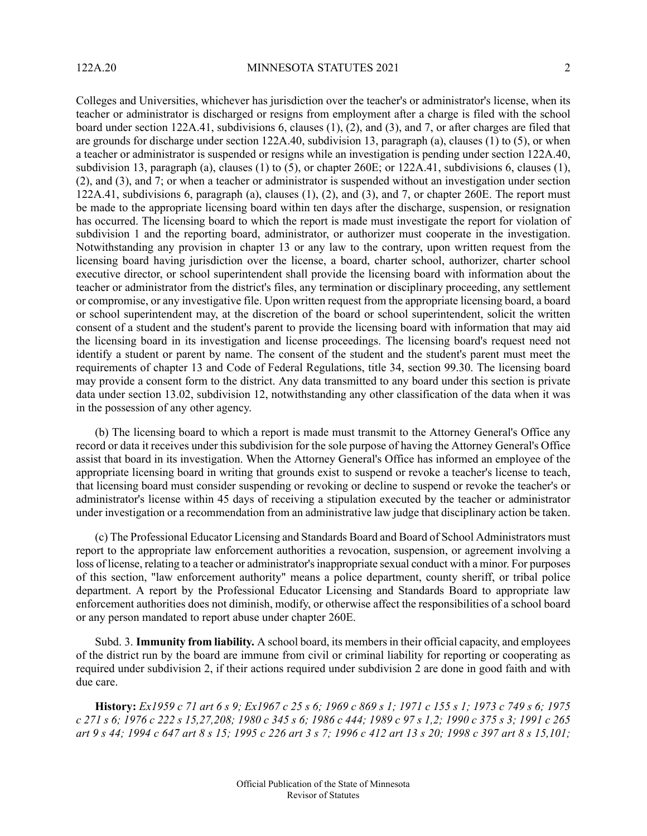Colleges and Universities, whichever has jurisdiction over the teacher's or administrator's license, when its teacher or administrator is discharged or resigns from employment after a charge is filed with the school board under section 122A.41, subdivisions 6, clauses (1), (2), and (3), and 7, or after charges are filed that are grounds for discharge under section 122A.40, subdivision 13, paragraph (a), clauses (1) to (5), or when a teacher or administrator is suspended or resigns while an investigation is pending under section 122A.40, subdivision 13, paragraph (a), clauses (1) to (5), or chapter 260E; or 122A.41, subdivisions 6, clauses (1), (2), and (3), and 7; or when a teacher or administrator is suspended without an investigation under section 122A.41, subdivisions 6, paragraph (a), clauses  $(1)$ ,  $(2)$ , and  $(3)$ , and  $7$ , or chapter 260E. The report must be made to the appropriate licensing board within ten days after the discharge, suspension, or resignation has occurred. The licensing board to which the report is made must investigate the report for violation of subdivision 1 and the reporting board, administrator, or authorizer must cooperate in the investigation. Notwithstanding any provision in chapter 13 or any law to the contrary, upon written request from the licensing board having jurisdiction over the license, a board, charter school, authorizer, charter school executive director, or school superintendent shall provide the licensing board with information about the teacher or administrator from the district's files, any termination or disciplinary proceeding, any settlement or compromise, or any investigative file. Upon written request from the appropriate licensing board, a board or school superintendent may, at the discretion of the board or school superintendent, solicit the written consent of a student and the student's parent to provide the licensing board with information that may aid the licensing board in its investigation and license proceedings. The licensing board's request need not identify a student or parent by name. The consent of the student and the student's parent must meet the requirements of chapter 13 and Code of Federal Regulations, title 34, section 99.30. The licensing board may provide a consent form to the district. Any data transmitted to any board under this section is private data under section 13.02, subdivision 12, notwithstanding any other classification of the data when it was in the possession of any other agency.

(b) The licensing board to which a report is made must transmit to the Attorney General's Office any record or data it receives under this subdivision for the sole purpose of having the Attorney General's Office assist that board in its investigation. When the Attorney General's Office has informed an employee of the appropriate licensing board in writing that grounds exist to suspend or revoke a teacher's license to teach, that licensing board must consider suspending or revoking or decline to suspend or revoke the teacher's or administrator's license within 45 days of receiving a stipulation executed by the teacher or administrator under investigation or a recommendation from an administrative law judge that disciplinary action be taken.

(c) The Professional Educator Licensing and Standards Board and Board of School Administrators must report to the appropriate law enforcement authorities a revocation, suspension, or agreement involving a loss of license, relating to a teacher or administrator's inappropriate sexual conduct with a minor. For purposes of this section, "law enforcement authority" means a police department, county sheriff, or tribal police department. A report by the Professional Educator Licensing and Standards Board to appropriate law enforcement authorities does not diminish, modify, or otherwise affect the responsibilities of a school board or any person mandated to report abuse under chapter 260E.

Subd. 3. **Immunity from liability.** A school board, its membersin their official capacity, and employees of the district run by the board are immune from civil or criminal liability for reporting or cooperating as required under subdivision 2, if their actions required under subdivision 2 are done in good faith and with due care.

History: Ex1959 c 71 art 6 s 9; Ex1967 c 25 s 6; 1969 c 869 s 1; 1971 c 155 s 1; 1973 c 749 s 6; 1975 c 271 s 6; 1976 c 222 s 15,27,208; 1980 c 345 s 6; 1986 c 444; 1989 c 97 s 1,2; 1990 c 375 s 3; 1991 c 265 art 9 s 44; 1994 c 647 art 8 s 15; 1995 c 226 art 3 s 7; 1996 c 412 art 13 s 20; 1998 c 397 art 8 s 15,101;